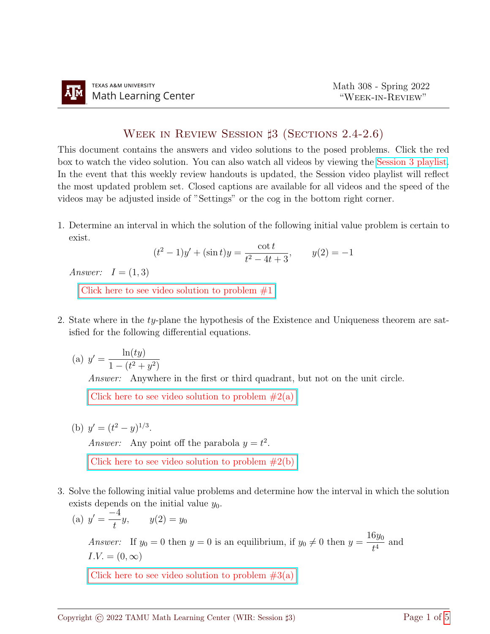## WEEK IN REVIEW SESSION  $\sharp 3$  (Sections 2.4-2.6)

This document contains the answers and video solutions to the posed problems. Click the red box to watch the video solution. You can also watch all videos by viewing the [Session 3 playlist.](https://www.youtube.com/playlist?list=PLwFg2cC3rFdkl16kwdlYHOHmvygPtJE6w) In the event that this weekly review handouts is updated, the Session video playlist will reflect the most updated problem set. Closed captions are available for all videos and the speed of the videos may be adjusted inside of "Settings" or the cog in the bottom right corner.

1. Determine an interval in which the solution of the following initial value problem is certain to exist.

$$
(t2 - 1)y' + (\sin t)y = \frac{\cot t}{t2 - 4t + 3}, \qquad y(2) = -1
$$

Answer:  $I = (1, 3)$ 

Click here to see video solution to problem  $#1$ 

- 2. State where in the ty-plane the hypothesis of the Existence and Uniqueness theorem are satisfied for the following differential equations.
	- (a)  $y' = \frac{\ln(ty)}{1 (t^2 + y^2)}$  $1-(t^2+y^2)$

Answer: Anywhere in the first or third quadrant, but not on the unit circle.

Click here to see video solution to problem  $#2(a)$ 

(b)  $y' = (t^2 - y)^{1/3}$ .

Answer: Any point off the parabola  $y = t^2$ .

Click here to see video solution to problem  $#2(b)$ 

3. Solve the following initial value problems and determine how the interval in which the solution exists depends on the initial value  $y_0$ .

(a) 
$$
y' = \frac{-4}{t}y
$$
,  $y(2) = y_0$ 

*Answer*: If  $y_0 = 0$  then  $y = 0$  is an equilibrium, if  $y_0 \neq 0$  then  $y = \frac{16y_0}{4}$  $\frac{690}{t^4}$  and  $I.V. = (0, \infty)$ 

Click here to see video solution to problem  $#3(a)$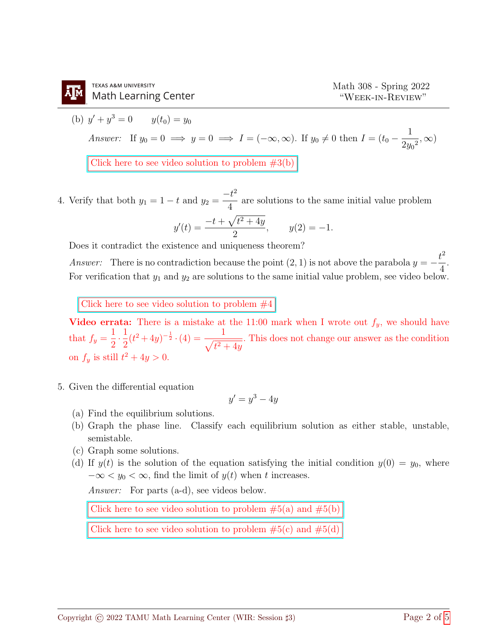(b) 
$$
y' + y^3 = 0
$$
  $y(t_0) = y_0$   
\nAnswer: If  $y_0 = 0 \implies y = 0 \implies I = (-\infty, \infty)$ . If  $y_0 \neq 0$  then  $I = (t_0 - \frac{1}{2y_0^2}, \infty)$   
\nClick here to see video solution to problem #3(b)

4. Verify that both  $y_1 = 1 - t$  and  $y_2 =$  $-t^2$ 4 are solutions to the same initial value problem

$$
y'(t) = \frac{-t + \sqrt{t^2 + 4y}}{2}
$$
,  $y(2) = -1$ .

Does it contradict the existence and uniqueness theorem?

Answer: There is no contradiction because the point  $(2, 1)$  is not above the parabola  $y = -\frac{t^2}{4}$ 4 . For verification that  $y_1$  and  $y_2$  are solutions to the same initial value problem, see video below.

Click here to see video solution to problem  $#4$ 

Video errata: There is a mistake at the 11:00 mark when I wrote out  $f_y$ , we should have that  $f_y =$ 1 2  $\cdot \frac{1}{2}$ 2  $(t^2+4y)^{-\frac{1}{2}} \cdot (4) = \frac{1}{\sqrt{2}}$  $\sqrt{t^2+4y}$ . This does not change our answer as the condition on  $f_y$  is still  $t^2 + 4y > 0$ .

5. Given the differential equation

$$
y'=y^3-4y
$$

- (a) Find the equilibrium solutions.
- (b) Graph the phase line. Classify each equilibrium solution as either stable, unstable, semistable.
- (c) Graph some solutions.
- (d) If  $y(t)$  is the solution of the equation satisfying the initial condition  $y(0) = y_0$ , where  $-\infty < y_0 < \infty$ , find the limit of  $y(t)$  when t increases.

Answer: For parts (a-d), see videos below.

Click here to see video solution to problem  $#5(a)$  and  $#5(b)$ 

Click here to see video solution to problem  $#5(c)$  and  $#5(d)$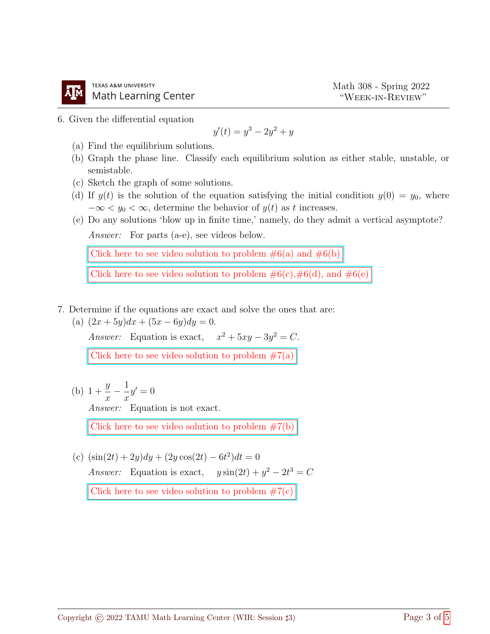6. Given the differential equation

$$
y'(t) = y^3 - 2y^2 + y
$$

- (a) Find the equilibrium solutions.
- (b) Graph the phase line. Classify each equilibrium solution as either stable, unstable, or semistable.
- (c) Sketch the graph of some solutions.
- (d) If  $y(t)$  is the solution of the equation satisfying the initial condition  $y(0) = y_0$ , where  $-\infty < y_0 < \infty$ , determine the behavior of  $y(t)$  as t increases.
- (e) Do any solutions 'blow up in finite time,' namely, do they admit a vertical asymptote? Answer: For parts (a-e), see videos below.

Click here to see video solution to problem  $\#6(a)$  and  $\#6(b)$ 

Click here to see video solution to problem  $\#6(c), \#6(d)$ , and  $\#6(e)$ 

- 7. Determine if the equations are exact and solve the ones that are:
	- (a)  $(2x+5y)dx + (5x-6y)dy = 0.$

Answer: Equation is exact,  $x^2 + 5xy - 3y^2 = C$ .

Click here to see video solution to problem  $#7(a)$ 

(b)  $1 +$  $\hat{y}$  $\overline{x}$ − 1  $\overline{x}$  $y'=0$ 

Answer: Equation is not exact.

Click here to see video solution to problem  $#7(b)$ 

(c)  $(\sin(2t) + 2y)dy + (2y\cos(2t) - 6t^2)dt = 0$ Answer: Equation is exact,  $y \sin(2t) + y^2 - 2t^3 = C$ Click here to see video solution to problem  $\#7(c)$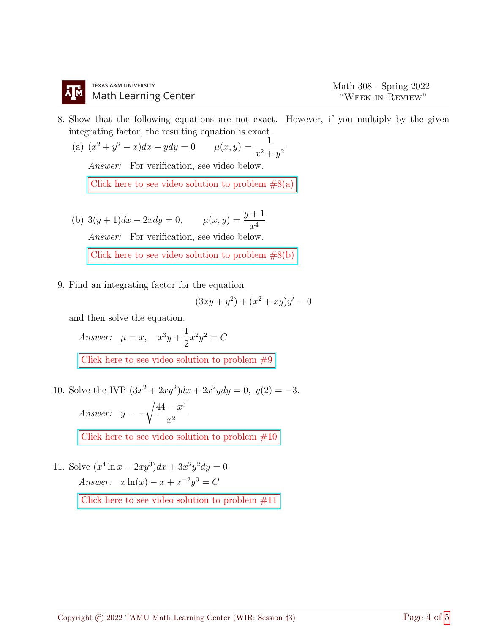8. Show that the following equations are not exact. However, if you multiply by the given integrating factor, the resulting equation is exact.

(a)  $(x^2 + y^2 - x)dx - ydy = 0$   $\mu(x, y) = \frac{1}{2\mu(x, y)}$  $x^2+y^2$ 

Answer: For verification, see video below.

Click here to see video solution to problem  $#8(a)$ 

(b)  $3(y+1)dx - 2xdy = 0$ ,  $\mu(x, y) = \frac{y+1}{4}$  $x^4$ Answer: For verification, see video below.

Click here to see video solution to problem  $#8(b)$ 

9. Find an integrating factor for the equation

$$
(3xy + y^2) + (x^2 + xy)y' = 0
$$

and then solve the equation.

Answer:  $\mu = x$ ,  $x^3y +$ 1 2  $x^2y^2 = C$ Click here to see video solution to problem  $#9$ 

10. Solve the IVP  $(3x^2 + 2xy^2)dx + 2x^2ydy = 0$ ,  $y(2) = -3$ . Answer:  $y = \sqrt{44-x^3}$  $x^2$ 

Click here to see video solution to problem  $#10$ 

11. Solve  $(x^4 \ln x - 2xy^3)dx + 3x^2y^2dy = 0.$ Answer:  $x \ln(x) - x + x^{-2}y^3 = C$ 

Click here to see video solution to problem  $\#11$